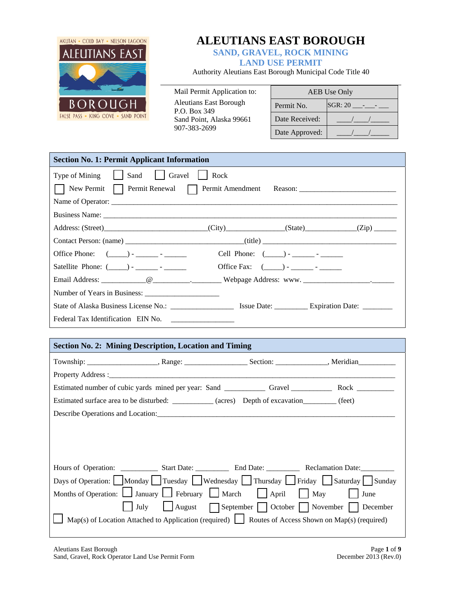

# **ALEUTIANS EAST BOROUGH**

**SAND, GRAVEL, ROCK MINING** 

# **LAND USE PERMIT**

Authority Aleutians East Borough Municipal Code Title 40

Mail Permit Application to: Aleutians East Borough P.O. Box 349 Sand Point, Alaska 99661 907-383-2699

|                | <b>AEB</b> Use Only |
|----------------|---------------------|
| Permit No.     | $SGR: 20$ ---       |
| Date Received: |                     |
| Date Approved: |                     |

| <b>Section No. 1: Permit Applicant Information</b>                                         |
|--------------------------------------------------------------------------------------------|
| Type of Mining     Sand     Gravel     Rock                                                |
| New Permit   Permit Renewal   Permit Amendment Reason: _________________________           |
| Name of Operator:                                                                          |
|                                                                                            |
| Address: (Street) (City) (State) (State) (Zip)                                             |
|                                                                                            |
| Office Phone: $(\_\_\_\_\_\_\_\_\_\_$ .<br>Cell Phone: $(\_\_\_\$ ) - _________ - ________ |
| Satellite Phone: $(\_\_\_\_\_\_\_$ .                                                       |
|                                                                                            |
| Number of Years in Business:                                                               |
|                                                                                            |
|                                                                                            |

## **Section No. 2: Mining Description, Location and Timing**

|  | Property Address : No. 1996. The Second Contract of the Second Contract of the Second Contract of the Second Contract of the Second Contract of the Second Contract of the Second Contract of the Second Contract of the Secon |  |  |  |
|--|--------------------------------------------------------------------------------------------------------------------------------------------------------------------------------------------------------------------------------|--|--|--|
|  |                                                                                                                                                                                                                                |  |  |  |
|  | Estimated surface area to be disturbed: ___________ (acres) Depth of excavation________ (feet)                                                                                                                                 |  |  |  |
|  |                                                                                                                                                                                                                                |  |  |  |
|  |                                                                                                                                                                                                                                |  |  |  |
|  |                                                                                                                                                                                                                                |  |  |  |
|  |                                                                                                                                                                                                                                |  |  |  |
|  |                                                                                                                                                                                                                                |  |  |  |
|  | Days of Operation:   Monday   Tuesday   Wednesday   Thursday   Friday   Saturday   Sunday                                                                                                                                      |  |  |  |
|  | Months of Operation: $\Box$ January $\Box$ February $\Box$ March $\Box$ April $\Box$ May $\Box$ June                                                                                                                           |  |  |  |
|  | July   August   September   October   November   December                                                                                                                                                                      |  |  |  |
|  | Map(s) of Location Attached to Application (required) $\Box$ Routes of Access Shown on Map(s) (required)                                                                                                                       |  |  |  |
|  |                                                                                                                                                                                                                                |  |  |  |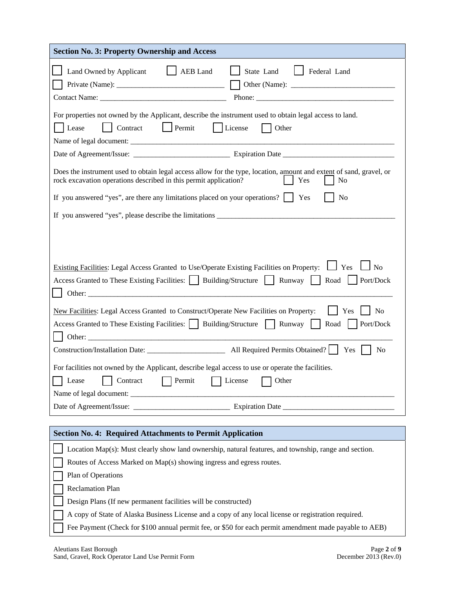| <b>Section No. 3: Property Ownership and Access</b>                                                                                                                                                                      |  |  |
|--------------------------------------------------------------------------------------------------------------------------------------------------------------------------------------------------------------------------|--|--|
| Land Owned by Applicant<br>AEB Land<br>State Land<br>Federal Land                                                                                                                                                        |  |  |
| For properties not owned by the Applicant, describe the instrument used to obtain legal access to land.<br>Permit<br>  Contract<br>License<br>Other<br>Lease                                                             |  |  |
|                                                                                                                                                                                                                          |  |  |
| Does the instrument used to obtain legal access allow for the type, location, amount and extent of sand, gravel, or<br>rock excavation operations described in this permit application?<br>Yes<br>N <sub>0</sub>         |  |  |
| If you answered "yes", are there any limitations placed on your operations? $\begin{array}{ c c } \hline \end{array}$ Yes<br>N <sub>0</sub>                                                                              |  |  |
|                                                                                                                                                                                                                          |  |  |
|                                                                                                                                                                                                                          |  |  |
| $\Box$ No<br>Existing Facilities: Legal Access Granted to Use/Operate Existing Facilities on Property: $\Box$ Yes<br>Access Granted to These Existing Facilities:     Building/Structure     Runway     Road   Port/Dock |  |  |
| New Facilities: Legal Access Granted to Construct/Operate New Facilities on Property:<br>N <sub>o</sub><br>Yes<br>Access Granted to These Existing Facilities:     Building/Structure   Runway<br>Port/Dock<br>Road      |  |  |
| Yes  <br>N <sub>0</sub>                                                                                                                                                                                                  |  |  |
| For facilities not owned by the Applicant, describe legal access to use or operate the facilities.                                                                                                                       |  |  |
| Permit<br>Lease<br>Contract<br>License<br>Other                                                                                                                                                                          |  |  |
|                                                                                                                                                                                                                          |  |  |
|                                                                                                                                                                                                                          |  |  |
| <b>Section No. 4: Required Attachments to Permit Application</b>                                                                                                                                                         |  |  |
| Location Map(s): Must clearly show land ownership, natural features, and township, range and section.                                                                                                                    |  |  |
| Routes of Access Marked on Map(s) showing ingress and egress routes.                                                                                                                                                     |  |  |
| Plan of Operations                                                                                                                                                                                                       |  |  |
| <b>Reclamation Plan</b>                                                                                                                                                                                                  |  |  |
| Design Plans (If new permanent facilities will be constructed)                                                                                                                                                           |  |  |
| A copy of State of Alaska Business License and a copy of any local license or registration required.                                                                                                                     |  |  |
| Fee Payment (Check for \$100 annual permit fee, or \$50 for each permit amendment made payable to AEB)                                                                                                                   |  |  |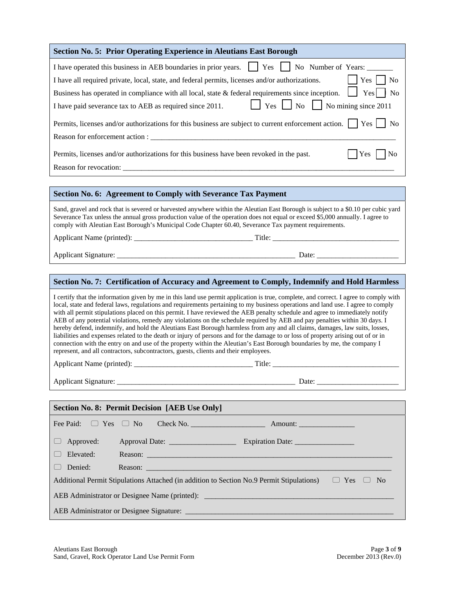| I have operated this business in AEB boundaries in prior years. $\Box$ Yes                                                                                                                                                                                                                                                                                                                                                                                                                                                                                                                                                                                                                                                                                                                                                                                                            | No Number of Years:                                                                                                                                                                                                           |  |  |
|---------------------------------------------------------------------------------------------------------------------------------------------------------------------------------------------------------------------------------------------------------------------------------------------------------------------------------------------------------------------------------------------------------------------------------------------------------------------------------------------------------------------------------------------------------------------------------------------------------------------------------------------------------------------------------------------------------------------------------------------------------------------------------------------------------------------------------------------------------------------------------------|-------------------------------------------------------------------------------------------------------------------------------------------------------------------------------------------------------------------------------|--|--|
| I have all required private, local, state, and federal permits, licenses and/or authorizations.                                                                                                                                                                                                                                                                                                                                                                                                                                                                                                                                                                                                                                                                                                                                                                                       | $ $ $ $ Yes $ $ No                                                                                                                                                                                                            |  |  |
| Business has operated in compliance with all local, state & federal requirements since inception. $\Box$ Yes $\Box$ No                                                                                                                                                                                                                                                                                                                                                                                                                                                                                                                                                                                                                                                                                                                                                                |                                                                                                                                                                                                                               |  |  |
| I have paid severance tax to AEB as required since 2011.                                                                                                                                                                                                                                                                                                                                                                                                                                                                                                                                                                                                                                                                                                                                                                                                                              | $\Box$ Yes $\Box$ No $\Box$ No mining since 2011                                                                                                                                                                              |  |  |
| Permits, licenses and/or authorizations for this business are subject to current enforcement action. $\Box$ Yes<br>$\overline{N}$                                                                                                                                                                                                                                                                                                                                                                                                                                                                                                                                                                                                                                                                                                                                                     |                                                                                                                                                                                                                               |  |  |
|                                                                                                                                                                                                                                                                                                                                                                                                                                                                                                                                                                                                                                                                                                                                                                                                                                                                                       |                                                                                                                                                                                                                               |  |  |
| Yes<br>Permits, licenses and/or authorizations for this business have been revoked in the past.<br>$\Box$ No                                                                                                                                                                                                                                                                                                                                                                                                                                                                                                                                                                                                                                                                                                                                                                          |                                                                                                                                                                                                                               |  |  |
| Reason for revocation: New York Contract the Contract of the Contract of the Contract of the Contract of the Contract of the Contract of the Contract of the Contract of the Contract of the Contract of the Contract of the C                                                                                                                                                                                                                                                                                                                                                                                                                                                                                                                                                                                                                                                        |                                                                                                                                                                                                                               |  |  |
|                                                                                                                                                                                                                                                                                                                                                                                                                                                                                                                                                                                                                                                                                                                                                                                                                                                                                       |                                                                                                                                                                                                                               |  |  |
| Section No. 6: Agreement to Comply with Severance Tax Payment                                                                                                                                                                                                                                                                                                                                                                                                                                                                                                                                                                                                                                                                                                                                                                                                                         |                                                                                                                                                                                                                               |  |  |
| Severance Tax unless the annual gross production value of the operation does not equal or exceed \$5,000 annually. I agree to<br>comply with Aleutian East Borough's Municipal Code Chapter 60.40, Severance Tax payment requirements.                                                                                                                                                                                                                                                                                                                                                                                                                                                                                                                                                                                                                                                | Sand, gravel and rock that is severed or harvested anywhere within the Aleutian East Borough is subject to a \$0.10 per cubic yard                                                                                            |  |  |
|                                                                                                                                                                                                                                                                                                                                                                                                                                                                                                                                                                                                                                                                                                                                                                                                                                                                                       |                                                                                                                                                                                                                               |  |  |
|                                                                                                                                                                                                                                                                                                                                                                                                                                                                                                                                                                                                                                                                                                                                                                                                                                                                                       |                                                                                                                                                                                                                               |  |  |
|                                                                                                                                                                                                                                                                                                                                                                                                                                                                                                                                                                                                                                                                                                                                                                                                                                                                                       |                                                                                                                                                                                                                               |  |  |
|                                                                                                                                                                                                                                                                                                                                                                                                                                                                                                                                                                                                                                                                                                                                                                                                                                                                                       |                                                                                                                                                                                                                               |  |  |
|                                                                                                                                                                                                                                                                                                                                                                                                                                                                                                                                                                                                                                                                                                                                                                                                                                                                                       | Section No. 7: Certification of Accuracy and Agreement to Comply, Indemnify and Hold Harmless                                                                                                                                 |  |  |
| local, state and federal laws, regulations and requirements pertaining to my business operations and land use. I agree to comply<br>with all permit stipulations placed on this permit. I have reviewed the AEB penalty schedule and agree to immediately notify<br>AEB of any potential violations, remedy any violations on the schedule required by AEB and pay penalties within 30 days. I<br>hereby defend, indemnify, and hold the Aleutians East Borough harmless from any and all claims, damages, law suits, losses,<br>liabilities and expenses related to the death or injury of persons and for the damage to or loss of property arising out of or in<br>connection with the entry on and use of the property within the Aleutian's East Borough boundaries by me, the company I<br>represent, and all contractors, subcontractors, guests, clients and their employees. | I certify that the information given by me in this land use permit application is true, complete, and correct. I agree to comply with                                                                                         |  |  |
|                                                                                                                                                                                                                                                                                                                                                                                                                                                                                                                                                                                                                                                                                                                                                                                                                                                                                       |                                                                                                                                                                                                                               |  |  |
|                                                                                                                                                                                                                                                                                                                                                                                                                                                                                                                                                                                                                                                                                                                                                                                                                                                                                       |                                                                                                                                                                                                                               |  |  |
|                                                                                                                                                                                                                                                                                                                                                                                                                                                                                                                                                                                                                                                                                                                                                                                                                                                                                       |                                                                                                                                                                                                                               |  |  |
| <b>Section No. 8: Permit Decision [AEB Use Only]</b>                                                                                                                                                                                                                                                                                                                                                                                                                                                                                                                                                                                                                                                                                                                                                                                                                                  |                                                                                                                                                                                                                               |  |  |
| Fee Paid:<br>$\Box$ Yes $\Box$ No                                                                                                                                                                                                                                                                                                                                                                                                                                                                                                                                                                                                                                                                                                                                                                                                                                                     |                                                                                                                                                                                                                               |  |  |
| Approved:                                                                                                                                                                                                                                                                                                                                                                                                                                                                                                                                                                                                                                                                                                                                                                                                                                                                             |                                                                                                                                                                                                                               |  |  |
| Elevated:                                                                                                                                                                                                                                                                                                                                                                                                                                                                                                                                                                                                                                                                                                                                                                                                                                                                             |                                                                                                                                                                                                                               |  |  |
| Denied:                                                                                                                                                                                                                                                                                                                                                                                                                                                                                                                                                                                                                                                                                                                                                                                                                                                                               | Reason: New York Contract the Contract of the Contract of the Contract of the Contract of the Contract of the Contract of the Contract of the Contract of the Contract of the Contract of the Contract of the Contract of the |  |  |
| Additional Permit Stipulations Attached (in addition to Section No.9 Permit Stipulations) $\Box$ Yes $\Box$                                                                                                                                                                                                                                                                                                                                                                                                                                                                                                                                                                                                                                                                                                                                                                           | N <sub>o</sub>                                                                                                                                                                                                                |  |  |
|                                                                                                                                                                                                                                                                                                                                                                                                                                                                                                                                                                                                                                                                                                                                                                                                                                                                                       |                                                                                                                                                                                                                               |  |  |

**Section No. 5: Prior Operating Experience in Aleutians East Borough**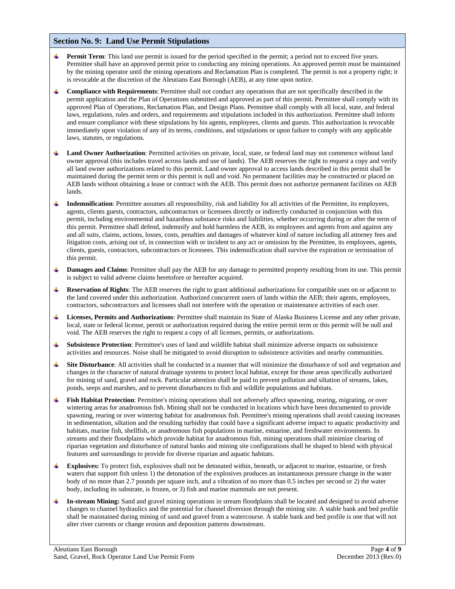#### **Section No. 9: Land Use Permit Stipulations**

- **Permit Term**: This land use permit is issued for the period specified in the permit; a period not to exceed five years. Permittee shall have an approved permit prior to conducting any mining operations. An approved permit must be maintained by the mining operator until the mining operations and Reclamation Plan is completed. The permit is not a property right; it is revocable at the discretion of the Aleutians East Borough (AEB), at any time upon notice.
- **Compliance with Requirements**: Permittee shall not conduct any operations that are not specifically described in the permit application and the Plan of Operations submitted and approved as part of this permit. Permittee shall comply with its approved Plan of Operations, Reclamation Plan, and Design Plans. Permittee shall comply with all local, state, and federal laws, regulations, rules and orders, and requirements and stipulations included in this authorization. Permittee shall inform and ensure compliance with these stipulations by his agents, employees, clients and guests. This authorization is revocable immediately upon violation of any of its terms, conditions, and stipulations or upon failure to comply with any applicable laws, statutes, or regulations.
- 4 Land Owner Authorization: Permitted activities on private, local, state, or federal land may not commence without land owner approval (this includes travel across lands and use of lands). The AEB reserves the right to request a copy and verify all land owner authorizations related to this permit. Land owner approval to access lands described in this permit shall be maintained during the permit term or this permit is null and void. No permanent facilities may be constructed or placed on AEB lands without obtaining a lease or contract with the AEB. This permit does not authorize permanent facilities on AEB lands.
- **Indemnification**: Permittee assumes all responsibility, risk and liability for all activities of the Permittee, its employees, agents, clients guests, contractors, subcontractors or licensees directly or indirectly conducted in conjunction with this permit, including environmental and hazardous substance risks and liabilities, whether occurring during or after the term of this permit. Permittee shall defend, indemnify and hold harmless the AEB, its employees and agents from and against any and all suits, claims, actions, losses, costs, penalties and damages of whatever kind of nature including all attorney fees and litigation costs, arising out of, in connection with or incident to any act or omission by the Permittee, its employees, agents, clients, guests, contractors, subcontractors or licensees. This indemnification shall survive the expiration or termination of this permit.
- **Damages and Claims**: Permittee shall pay the AEB for any damage to permitted property resulting from its use. This permit 4 is subject to valid adverse claims heretofore or hereafter acquired.
- **Reservation of Rights**: The AEB reserves the right to grant additional authorizations for compatible uses on or adjacent to the land covered under this authorization. Authorized concurrent users of lands within the AEB; their agents, employees, contractors, subcontractors and licensees shall not interfere with the operation or maintenance activities of each user.
- **Licenses, Permits and Authorizations**: Permittee shall maintain its State of Alaska Business License and any other private, local, state or federal license, permit or authorization required during the entire permit term or this permit will be null and void. The AEB reserves the right to request a copy of all licenses, permits, or authorizations.
- **Subsistence Protection**: Permittee's uses of land and wildlife habitat shall minimize adverse impacts on subsistence ٠ activities and resources. Noise shall be mitigated to avoid disruption to subsistence activities and nearby communities.
- **Site Disturbance**: All activities shall be conducted in a manner that will minimize the disturbance of soil and vegetation and changes in the character of natural drainage systems to protect local habitat, except for those areas specifically authorized for mining of sand, gravel and rock. Particular attention shall be paid to prevent pollution and siltation of streams, lakes, ponds, seeps and marshes, and to prevent disturbances to fish and wildlife populations and habitats.
- ₩. **Fish Habitat Protection**: Permittee's mining operations shall not adversely affect spawning, rearing, migrating, or over wintering areas for anadromous fish. Mining shall not be conducted in locations which have been documented to provide spawning, rearing or over wintering habitat for anadromous fish. Permittee's mining operations shall avoid causing increases in sedimentation, siltation and the resulting turbidity that could have a significant adverse impact to aquatic productivity and habitats, marine fish, shellfish, or anadromous fish populations in marine, estuarine, and freshwater environments. In streams and their floodplains which provide habitat for anadromous fish, mining operations shall minimize clearing of riparian vegetation and disturbance of natural banks and mining site configurations shall be shaped to blend with physical features and surroundings to provide for diverse riparian and aquatic habitats.
- **Explosives:** To protect fish, explosives shall not be detonated within, beneath, or adjacent to marine, estuarine, or fresh waters that support fish unless 1) the detonation of the explosives produces an instantaneous pressure change in the water body of no more than 2.7 pounds per square inch, and a vibration of no more than 0.5 inches per second or 2) the water body, including its substrate, is frozen, or 3) fish and marine mammals are not present.
- **In-stream Mining:** Sand and gravel mining operations in stream floodplains shall be located and designed to avoid adverse changes to channel hydraulics and the potential for channel diversion through the mining site. A stable bank and bed profile shall be maintained during mining of sand and gravel from a watercourse. A stable bank and bed profile is one that will not alter river currents or change erosion and deposition patterns downstream.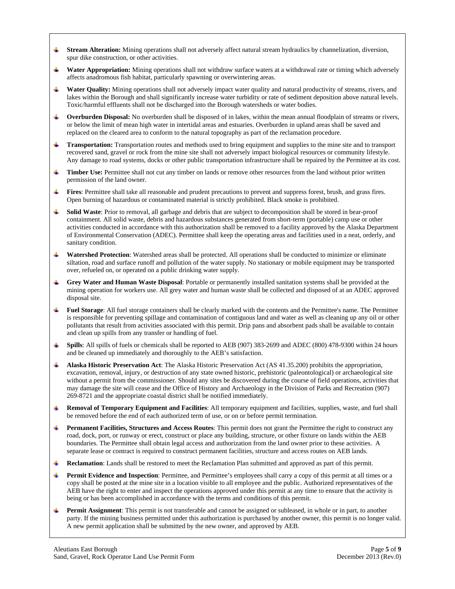- **Stream Alteration:** Mining operations shall not adversely affect natural stream hydraulics by channelization, diversion, ÷ spur dike construction, or other activities.
- **Water Appropriation:** Mining operations shall not withdraw surface waters at a withdrawal rate or timing which adversely affects anadromous fish habitat, particularly spawning or overwintering areas.
- **Water Quality:** Mining operations shall not adversely impact water quality and natural productivity of streams, rivers, and lakes within the Borough and shall significantly increase water turbidity or rate of sediment deposition above natural levels. Toxic/harmful effluents shall not be discharged into the Borough watersheds or water bodies.
- ₩., **Overburden Disposal:** No overburden shall be disposed of in lakes, within the mean annual floodplain of streams or rivers, or below the limit of mean high water in intertidal areas and estuaries. Overburden in upland areas shall be saved and replaced on the cleared area to conform to the natural topography as part of the reclamation procedure.
- **Transportation:** Transportation routes and methods used to bring equipment and supplies to the mine site and to transport recovered sand, gravel or rock from the mine site shall not adversely impact biological resources or community lifestyle. Any damage to road systems, docks or other public transportation infrastructure shall be repaired by the Permittee at its cost.
- 4 **Timber Use:** Permittee shall not cut any timber on lands or remove other resources from the land without prior written permission of the land owner.
- **Fires**: Permittee shall take all reasonable and prudent precautions to prevent and suppress forest, brush, and grass fires. Open burning of hazardous or contaminated material is strictly prohibited. Black smoke is prohibited.
- **Solid Waste**: Prior to removal, all garbage and debris that are subject to decomposition shall be stored in bear-proof containment. All solid waste, debris and hazardous substances generated from short-term (portable) camp use or other activities conducted in accordance with this authorization shall be removed to a facility approved by the Alaska Department of Environmental Conservation (ADEC). Permittee shall keep the operating areas and facilities used in a neat, orderly, and sanitary condition.
- **Watershed Protection**: Watershed areas shall be protected. All operations shall be conducted to minimize or eliminate siltation, road and surface runoff and pollution of the water supply. No stationary or mobile equipment may be transported over, refueled on, or operated on a public drinking water supply.
- **Grey Water and Human Waste Disposal**: Portable or permanently installed sanitation systems shall be provided at the mining operation for workers use. All grey water and human waste shall be collected and disposed of at an ADEC approved disposal site.
- **Fuel Storage**: All fuel storage containers shall be clearly marked with the contents and the Permittee's name. The Permittee is responsible for preventing spillage and contamination of contiguous land and water as well as cleaning up any oil or other pollutants that result from activities associated with this permit. Drip pans and absorbent pads shall be available to contain and clean up spills from any transfer or handling of fuel.
- ÷ **Spills**: All spills of fuels or chemicals shall be reported to AEB (907) 383-2699 and ADEC (800) 478-9300 within 24 hours and be cleaned up immediately and thoroughly to the AEB's satisfaction.
- **Alaska Historic Preservation Act**: The Alaska Historic Preservation Act (AS 41.35.200) prohibits the appropriation, excavation, removal, injury, or destruction of any state owned historic, prehistoric (paleontological) or archaeological site without a permit from the commissioner. Should any sites be discovered during the course of field operations, activities that may damage the site will cease and the Office of History and Archaeology in the Division of Parks and Recreation (907) 269-8721 and the appropriate coastal district shall be notified immediately.
- **Removal of Temporary Equipment and Facilities**: All temporary equipment and facilities, supplies, waste, and fuel shall be removed before the end of each authorized term of use, or on or before permit termination.
- **Permanent Facilities, Structures and Access Routes**: This permit does not grant the Permittee the right to construct any road, dock, port, or runway or erect, construct or place any building, structure, or other fixture on lands within the AEB boundaries. The Permittee shall obtain legal access and authorization from the land owner prior to these activities. A separate lease or contract is required to construct permanent facilities, structure and access routes on AEB lands.
- **Reclamation**: Lands shall be restored to meet the Reclamation Plan submitted and approved as part of this permit. ٠
- Permit Evidence and Inspection: Permittee, and Permittee's employees shall carry a copy of this permit at all times or a copy shall be posted at the mine site in a location visible to all employee and the public. Authorized representatives of the AEB have the right to enter and inspect the operations approved under this permit at any time to ensure that the activity is being or has been accomplished in accordance with the terms and conditions of this permit.
- ₩., **Permit Assignment**: This permit is not transferable and cannot be assigned or subleased, in whole or in part, to another party. If the mining business permitted under this authorization is purchased by another owner, this permit is no longer valid. A new permit application shall be submitted by the new owner, and approved by AEB.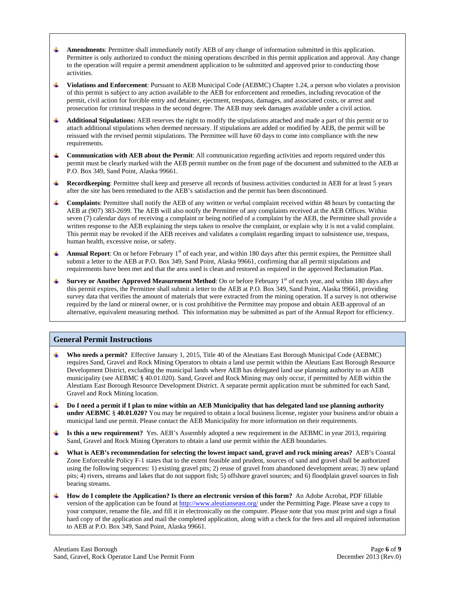- **Amendments:** Permittee shall immediately notify AEB of any change of information submitted in this application. Permittee is only authorized to conduct the mining operations described in this permit application and approval. Any change to the operation will require a permit amendment application to be submitted and approved prior to conducting those activities.
- **Violations and Enforcement**: Pursuant to AEB Municipal Code (AEBMC) Chapter 1.24, a person who violates a provision of this permit is subject to any action available to the AEB for enforcement and remedies, including revocation of the permit, civil action for forcible entry and detainer, ejectment, trespass, damages, and associated costs, or arrest and prosecution for criminal trespass in the second degree. The AEB may seek damages available under a civil action.
- **Additional Stipulations:** AEB reserves the right to modify the stipulations attached and made a part of this permit or to ₩. attach additional stipulations when deemed necessary. If stipulations are added or modified by AEB, the permit will be reissued with the revised permit stipulations. The Permittee will have 60 days to come into compliance with the new requirements.
- **Communication with AEB about the Permit**: All communication regarding activities and reports required under this permit must be clearly marked with the AEB permit number on the front page of the document and submitted to the AEB at P.O. Box 349, Sand Point, Alaska 99661.
- **Recordkeeping**: Permittee shall keep and preserve all records of business activities conducted in AEB for at least 5 years after the site has been remediated to the AEB's satisfaction and the permit has been discontinued.
- **Complaints**: Permittee shall notify the AEB of any written or verbal complaint received within 48 hours by contacting the AEB at (907) 383-2699. The AEB will also notify the Permittee of any complaints received at the AEB Offices. Within seven (7) calendar days of receiving a complaint or being notified of a complaint by the AEB, the Permittee shall provide a written response to the AEB explaining the steps taken to resolve the complaint, or explain why it is not a valid complaint. This permit may be revoked if the AEB receives and validates a complaint regarding impact to subsistence use, trespass, human health, excessive noise, or safety.
- **Annual Report**: On or before February  $1<sup>st</sup>$  of each year, and within 180 days after this permit expires, the Permittee shall submit a letter to the AEB at P.O. Box 349, Sand Point, Alaska 99661, confirming that all permit stipulations and requirements have been met and that the area used is clean and restored as required in the approved Reclamation Plan.
- **Survey or Another Approved Measurement Method**: On or before February 1<sup>st</sup> of each year, and within 180 days after this permit expires, the Permittee shall submit a letter to the AEB at P.O. Box 349, Sand Point, Alaska 99661, providing survey data that verifies the amount of materials that were extracted from the mining operation. If a survey is not otherwise required by the land or mineral owner, or is cost prohibitive the Permittee may propose and obtain AEB approval of an alternative, equivalent measuring method. This information may be submitted as part of the Annual Report for efficiency.

### **General Permit Instructions**

- **Who needs a permit?** Effective January 1, 2015, Title 40 of the Aleutians East Borough Municipal Code (AEBMC) requires Sand, Gravel and Rock Mining Operators to obtain a land use permit within the Aleutians East Borough Resource Development District, excluding the municipal lands where AEB has delegated land use planning authority to an AEB municipality (see AEBMC § 40.01.020). Sand, Gravel and Rock Mining may only occur, if permitted by AEB within the Aleutians East Borough Resource Development District. A separate permit application must be submitted for each Sand, Gravel and Rock Mining location.
- **Do I need a permit if I plan to mine within an AEB Municipality that has delegated land use planning authority**  ₩. **under AEBMC** § **40.01.020?** You may be required to obtain a local business license, register your business and/or obtain a municipal land use permit. Please contact the AEB Municipality for more information on their requirements.
- **Is this a new requirement?** Yes. AEB's Assembly adopted a new requirement in the AEBMC in year 2013, requiring Sand, Gravel and Rock Mining Operators to obtain a land use permit within the AEB boundaries.
- **What is AEB's recommendation for selecting the lowest impact sand, gravel and rock mining areas?** AEB's Coastal Zone Enforceable Policy F-1 states that to the extent feasible and prudent, sources of sand and gravel shall be authorized using the following sequences: 1) existing gravel pits; 2) reuse of gravel from abandoned development areas; 3) new upland pits; 4) rivers, streams and lakes that do not support fish; 5) offshore gravel sources; and 6) floodplain gravel sources in fish bearing streams.
- **How do I complete the Application? Is there an electronic version of this form?** An Adobe Acrobat, PDF fillable ₩., version of the application can be found at http://www.aleutianseast.org/ under the Permitting Page. Please save a copy to your computer, rename the file, and fill it in electronically on the computer. Please note that you must print and sign a final hard copy of the application and mail the completed application, along with a check for the fees and all required information to AEB at P.O. Box 349, Sand Point, Alaska 99661.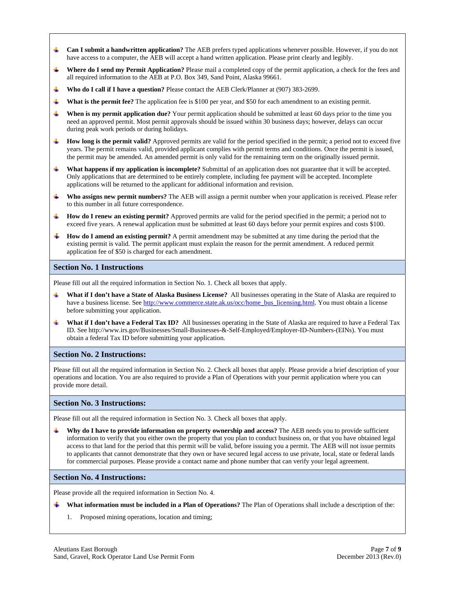- **Can I submit a handwritten application?** The AEB prefers typed applications whenever possible. However, if you do not ₩ have access to a computer, the AEB will accept a hand written application. Please print clearly and legibly.
- **Where do I send my Permit Application?** Please mail a completed copy of the permit application, a check for the fees and ÷ all required information to the AEB at P.O. Box 349, Sand Point, Alaska 99661.
- ÷ **Who do I call if I have a question?** Please contact the AEB Clerk/Planner at (907) 383-2699.
- **What is the permit fee?** The application fee is \$100 per year, and \$50 for each amendment to an existing permit.
- **When is my permit application due?** Your permit application should be submitted at least 60 days prior to the time you need an approved permit. Most permit approvals should be issued within 30 business days; however, delays can occur during peak work periods or during holidays.
- ₩ **How long is the permit valid?** Approved permits are valid for the period specified in the permit; a period not to exceed five years. The permit remains valid, provided applicant complies with permit terms and conditions. Once the permit is issued, the permit may be amended. An amended permit is only valid for the remaining term on the originally issued permit.
- **What happens if my application is incomplete?** Submittal of an application does not guarantee that it will be accepted. Only applications that are determined to be entirely complete, including fee payment will be accepted. Incomplete applications will be returned to the applicant for additional information and revision.
- **Who assigns new permit numbers?** The AEB will assign a permit number when your application is received. Please refer to this number in all future correspondence.
- **How do I renew an existing permit?** Approved permits are valid for the period specified in the permit; a period not to exceed five years. A renewal application must be submitted at least 60 days before your permit expires and costs \$100.
- **How do I amend an existing permit?** A permit amendment may be submitted at any time during the period that the existing permit is valid. The permit applicant must explain the reason for the permit amendment. A reduced permit application fee of \$50 is charged for each amendment.

#### **Section No. 1 Instructions**

Please fill out all the required information in Section No. 1. Check all boxes that apply.

- **What if I don't have a State of Alaska Business License?** All businesses operating in the State of Alaska are required to have a business license. See http://www.commerce.state.ak.us/occ/home\_bus\_licensing.html. You must obtain a license before submitting your application.
- 4 **What if I don't have a Federal Tax ID?** All businesses operating in the State of Alaska are required to have a Federal Tax ID. See http://www.irs.gov/Businesses/Small-Businesses-&-Self-Employed/Employer-ID-Numbers-(EINs). You must obtain a federal Tax ID before submitting your application.

#### **Section No. 2 Instructions:**

Please fill out all the required information in Section No. 2. Check all boxes that apply. Please provide a brief description of your operations and location. You are also required to provide a Plan of Operations with your permit application where you can provide more detail.

#### **Section No. 3 Instructions:**

Please fill out all the required information in Section No. 3. Check all boxes that apply.

**Why do I have to provide information on property ownership and access?** The AEB needs you to provide sufficient information to verify that you either own the property that you plan to conduct business on, or that you have obtained legal access to that land for the period that this permit will be valid, before issuing you a permit. The AEB will not issue permits to applicants that cannot demonstrate that they own or have secured legal access to use private, local, state or federal lands for commercial purposes. Please provide a contact name and phone number that can verify your legal agreement.

#### **Section No. 4 Instructions:**

Please provide all the required information in Section No. 4.

- **What information must be included in a Plan of Operations?** The Plan of Operations shall include a description of the:
	- 1. Proposed mining operations, location and timing;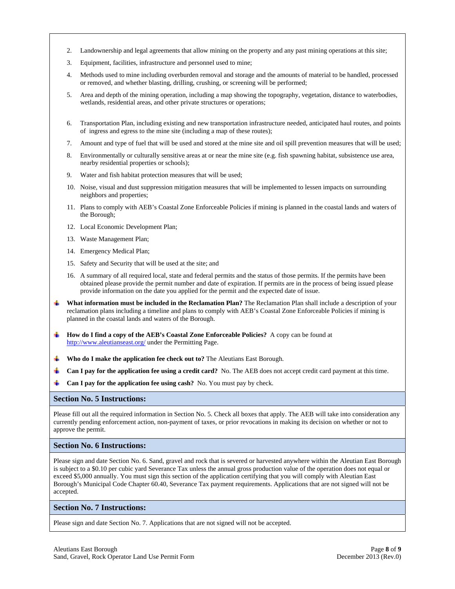- 2. Landownership and legal agreements that allow mining on the property and any past mining operations at this site;
- 3. Equipment, facilities, infrastructure and personnel used to mine;
- 4. Methods used to mine including overburden removal and storage and the amounts of material to be handled, processed or removed, and whether blasting, drilling, crushing, or screening will be performed;
- 5. Area and depth of the mining operation, including a map showing the topography, vegetation, distance to waterbodies, wetlands, residential areas, and other private structures or operations;
- 6. Transportation Plan, including existing and new transportation infrastructure needed, anticipated haul routes, and points of ingress and egress to the mine site (including a map of these routes);
- 7. Amount and type of fuel that will be used and stored at the mine site and oil spill prevention measures that will be used;
- 8. Environmentally or culturally sensitive areas at or near the mine site (e.g. fish spawning habitat, subsistence use area, nearby residential properties or schools);
- 9. Water and fish habitat protection measures that will be used;
- 10. Noise, visual and dust suppression mitigation measures that will be implemented to lessen impacts on surrounding neighbors and properties;
- 11. Plans to comply with AEB's Coastal Zone Enforceable Policies if mining is planned in the coastal lands and waters of the Borough;
- 12. Local Economic Development Plan;
- 13. Waste Management Plan;
- 14. Emergency Medical Plan;
- 15. Safety and Security that will be used at the site; and
- 16. A summary of all required local, state and federal permits and the status of those permits. If the permits have been obtained please provide the permit number and date of expiration. If permits are in the process of being issued please provide information on the date you applied for the permit and the expected date of issue.
- **What information must be included in the Reclamation Plan?** The Reclamation Plan shall include a description of your reclamation plans including a timeline and plans to comply with AEB's Coastal Zone Enforceable Policies if mining is planned in the coastal lands and waters of the Borough.
- **How do I find a copy of the AEB's Coastal Zone Enforceable Policies?** A copy can be found at http://www.aleutianseast.org/ under the Permitting Page.
- **Who do I make the application fee check out to?** The Aleutians East Borough.
- **Can I pay for the application fee using a credit card?** No. The AEB does not accept credit card payment at this time.
- **Can I pay for the application fee using cash?** No. You must pay by check.

#### **Section No. 5 Instructions:**

Please fill out all the required information in Section No. 5. Check all boxes that apply. The AEB will take into consideration any currently pending enforcement action, non-payment of taxes, or prior revocations in making its decision on whether or not to approve the permit.

#### **Section No. 6 Instructions:**

Please sign and date Section No. 6. Sand, gravel and rock that is severed or harvested anywhere within the Aleutian East Borough is subject to a \$0.10 per cubic yard Severance Tax unless the annual gross production value of the operation does not equal or exceed \$5,000 annually. You must sign this section of the application certifying that you will comply with Aleutian East Borough's Municipal Code Chapter 60.40, Severance Tax payment requirements. Applications that are not signed will not be accepted.

#### **Section No. 7 Instructions:**

Please sign and date Section No. 7. Applications that are not signed will not be accepted.